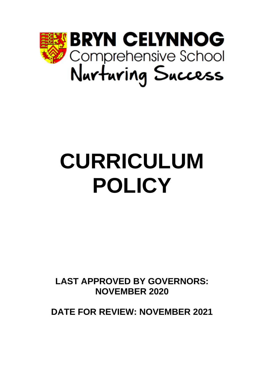

# **CURRICULUM POLICY**

**LAST APPROVED BY GOVERNORS: NOVEMBER 2020**

**DATE FOR REVIEW: NOVEMBER 2021**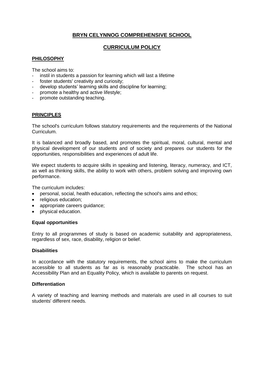# **BRYN CELYNNOG COMPREHENSIVE SCHOOL**

# **CURRICULUM POLICY**

# **PHILOSOPHY**

The school aims to:

- instil in students a passion for learning which will last a lifetime
- foster students' creativity and curiosity:
- develop students' learning skills and discipline for learning;
- promote a healthy and active lifestyle;
- promote outstanding teaching.

# **PRINCIPLES**

The school's curriculum follows statutory requirements and the requirements of the National Curriculum.

It is balanced and broadly based, and promotes the spiritual, moral, cultural, mental and physical development of our students and of society and prepares our students for the opportunities, responsibilities and experiences of adult life.

We expect students to acquire skills in speaking and listening, literacy, numeracy, and ICT, as well as thinking skills, the ability to work with others, problem solving and improving own performance.

The curriculum includes:

- personal, social, health education, reflecting the school's aims and ethos;
- religious education;
- appropriate careers guidance;
- physical education.

# **Equal opportunities**

Entry to all programmes of study is based on academic suitability and appropriateness, regardless of sex, race, disability, religion or belief.

#### **Disabilities**

In accordance with the statutory requirements, the school aims to make the curriculum accessible to all students as far as is reasonably practicable. The school has an Accessibility Plan and an Equality Policy, which is available to parents on request.

# **Differentiation**

A variety of teaching and learning methods and materials are used in all courses to suit students' different needs.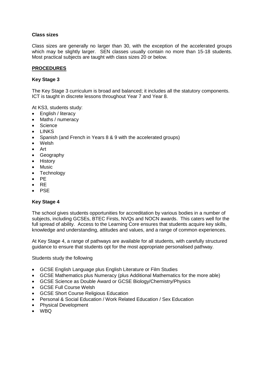# **Class sizes**

Class sizes are generally no larger than 30, with the exception of the accelerated groups which may be slightly larger. SEN classes usually contain no more than 15-18 students. Most practical subjects are taught with class sizes 20 or below.

# **PROCEDURES**

# **Key Stage 3**

The Key Stage 3 curriculum is broad and balanced; it includes all the statutory components. ICT is taught in discrete lessons throughout Year 7 and Year 8.

At KS3, students study:

- English / literacy
- Maths / numeracy
- Science
- LINKS
- Spanish (and French in Years 8 & 9 with the accelerated groups)
- Welsh
- Art
- **Geography**
- History
- Music
- **Technology**
- PE
- RE
- PSE

# **Key Stage 4**

The school gives students opportunities for accreditation by various bodies in a number of subjects, including GCSEs, BTEC Firsts, NVQs and NOCN awards. This caters well for the full spread of ability. Access to the Learning Core ensures that students acquire key skills, knowledge and understanding, attitudes and values, and a range of common experiences.

At Key Stage 4, a range of pathways are available for all students, with carefully structured guidance to ensure that students opt for the most appropriate personalised pathway.

Students study the following

- GCSE English Language plus English Literature or Film Studies
- GCSE Mathematics plus Numeracy (plus Additional Mathematics for the more able)
- GCSE Science as Double Award or GCSE Biology/Chemistry/Physics
- GCSE Full Course Welsh
- GCSE Short Course Religious Education
- Personal & Social Education / Work Related Education / Sex Education
- Physical Development
- WBQ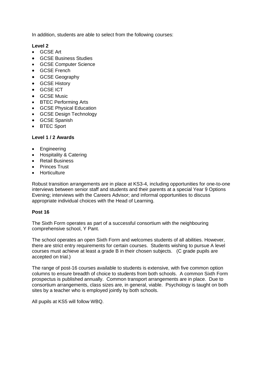In addition, students are able to select from the following courses:

#### **Level 2**

- GCSE Art
- GCSE Business Studies
- GCSE Computer Science
- GCSE French
- GCSE Geography
- GCSE History
- GCSE ICT
- GCSE Music
- BTEC Performing Arts
- GCSE Physical Education
- GCSE Design Technology
- GCSE Spanish
- BTEC Sport

# **Level 1 / 2 Awards**

- Engineering
- Hospitality & Catering
- Retail Business
- Princes Trust
- Horticulture

Robust transition arrangements are in place at KS3-4, including opportunities for one-to-one interviews between senior staff and students and their parents at a special Year 9 Options Evening; interviews with the Careers Advisor; and informal opportunities to discuss appropriate individual choices with the Head of Learning.

# **Post 16**

The Sixth Form operates as part of a successful consortium with the neighbouring comprehensive school, Y Pant.

The school operates an open Sixth Form and welcomes students of all abilities. However, there are strict entry requirements for certain courses. Students wishing to pursue A level courses must achieve at least a grade B in their chosen subjects. (C grade pupils are accepted on trial.)

The range of post-16 courses available to students is extensive, with five common option columns to ensure breadth of choice to students from both schools. A common Sixth Form prospectus is published annually. Common transport arrangements are in place. Due to consortium arrangements, class sizes are, in general, viable. Psychology is taught on both sites by a teacher who is employed jointly by both schools.

All pupils at KS5 will follow WBQ.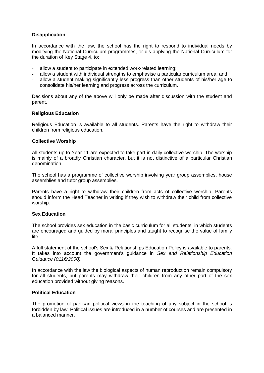#### **Disapplication**

In accordance with the law, the school has the right to respond to individual needs by modifying the National Curriculum programmes, or dis-applying the National Curriculum for the duration of Key Stage 4, to:

- allow a student to participate in extended work-related learning;
- allow a student with individual strengths to emphasise a particular curriculum area; and
- allow a student making significantly less progress than other students of his/her age to consolidate his/her learning and progress across the curriculum.

Decisions about any of the above will only be made after discussion with the student and parent.

#### **Religious Education**

Religious Education is available to all students. Parents have the right to withdraw their children from religious education.

#### **Collective Worship**

All students up to Year 11 are expected to take part in daily collective worship. The worship is mainly of a broadly Christian character, but it is not distinctive of a particular Christian denomination.

The school has a programme of collective worship involving year group assemblies, house assemblies and tutor group assemblies.

Parents have a right to withdraw their children from acts of collective worship. Parents should inform the Head Teacher in writing if they wish to withdraw their child from collective worship.

#### **Sex Education**

The school provides sex education in the basic curriculum for all students, in which students are encouraged and guided by moral principles and taught to recognise the value of family life.

A full statement of the school's Sex & Relationships Education Policy is available to parents. It takes into account the government's guidance in *Sex and Relationship Education Guidance (0116/2000).*

In accordance with the law the biological aspects of human reproduction remain compulsory for all students, but parents may withdraw their children from any other part of the sex education provided without giving reasons.

#### **Political Education**

The promotion of partisan political views in the teaching of any subject in the school is forbidden by law. Political issues are introduced in a number of courses and are presented in a balanced manner.